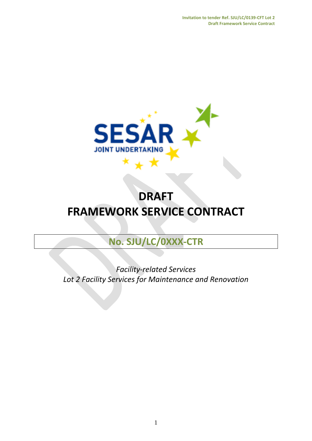

# **DRAFT FRAMEWORK SERVICE CONTRACT**

# **No. SJU/LC/0XXX-CTR**

*Facility-related Services Lot 2 Facility Services for Maintenance and Renovation*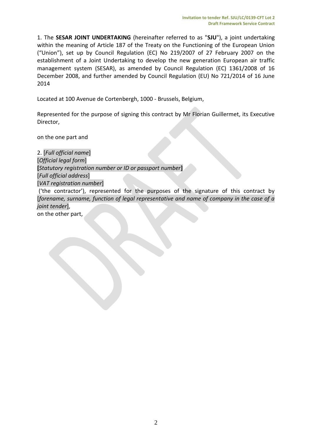1. The **SESAR JOINT UNDERTAKING** (hereinafter referred to as "**SJU**"), a joint undertaking within the meaning of Article 187 of the Treaty on the Functioning of the European Union ("Union"), set up by Council Regulation (EC) No 219/2007 of 27 February 2007 on the establishment of a Joint Undertaking to develop the new generation European air traffic management system (SESAR), as amended by Council Regulation (EC) 1361/2008 of 16 December 2008, and further amended by Council Regulation (EU) No 721/2014 of 16 June 2014

Located at 100 Avenue de Cortenbergh, 1000 - Brussels, Belgium,

Represented for the purpose of signing this contract by Mr Florian Guillermet, its Executive Director,

on the one part and

2. [*Full official name*] [*Official legal form*] **[***Statutory registration number or ID or passport number***]** [*Full official address*] [*VAT registration number*] ('the contractor'), represented for the purposes of the signature of this contract by [*forename, surname, function of legal representative and name of company in the case of a joint tender*], on the other part,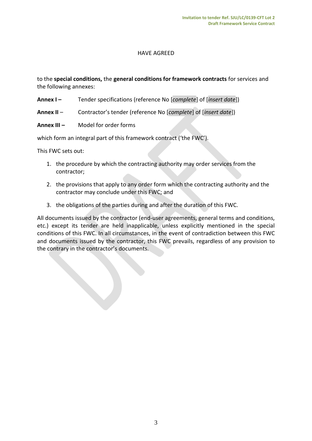# HAVE AGREED

to the **special conditions,** the **general conditions for framework contracts** for services and the following annexes:

- **Annex I –** Tender specifications (reference No [*complete*] of [*insert date*])
- **Annex II** Contractor's tender (reference No [*complete*] of [*insert date*])
- **Annex III –** Model for order forms

which form an integral part of this framework contract ('the FWC').

This FWC sets out:

- 1. the procedure by which the contracting authority may order services from the contractor;
- 2. the provisions that apply to any order form which the contracting authority and the contractor may conclude under this FWC; and
- 3. the obligations of the parties during and after the duration of this FWC.

All documents issued by the contractor (end-user agreements, general terms and conditions, etc.) except its tender are held inapplicable, unless explicitly mentioned in the special conditions of this FWC. In all circumstances, in the event of contradiction between this FWC and documents issued by the contractor, this FWC prevails, regardless of any provision to the contrary in the contractor's documents.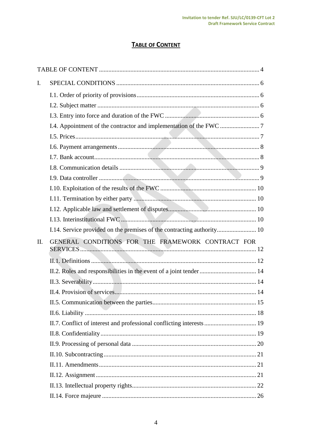# **TABLE OF CONTENT**

<span id="page-3-0"></span>

| $\mathbf{I}$ . |                                                                        |  |
|----------------|------------------------------------------------------------------------|--|
|                |                                                                        |  |
|                |                                                                        |  |
|                |                                                                        |  |
|                |                                                                        |  |
|                |                                                                        |  |
|                |                                                                        |  |
|                |                                                                        |  |
|                |                                                                        |  |
|                |                                                                        |  |
|                |                                                                        |  |
|                |                                                                        |  |
|                |                                                                        |  |
|                |                                                                        |  |
|                | I.14. Service provided on the premises of the contracting authority 10 |  |
|                |                                                                        |  |
| $\prod$ .      | GENERAL CONDITIONS FOR THE FRAMEWORK CONTRACT FOR                      |  |
|                |                                                                        |  |
|                | II.2. Roles and responsibilities in the event of a joint tender  14    |  |
|                |                                                                        |  |
|                |                                                                        |  |
|                |                                                                        |  |
|                |                                                                        |  |
|                | II.7. Conflict of interest and professional conflicting interests  19  |  |
|                |                                                                        |  |
|                |                                                                        |  |
|                |                                                                        |  |
|                |                                                                        |  |
|                |                                                                        |  |
|                |                                                                        |  |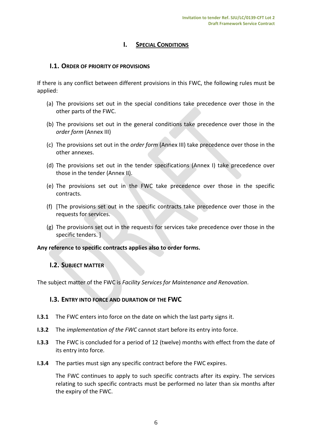# **I.** SPECIAL CONDITIONS

# <span id="page-5-1"></span><span id="page-5-0"></span>**I.1. ORDER OF PRIORITY OF PROVISIONS**

If there is any conflict between different provisions in this FWC, the following rules must be applied:

- (a) The provisions set out in the special conditions take precedence over those in the other parts of the FWC.
- (b) The provisions set out in the general conditions take precedence over those in the *order form* (Annex III)
- (c) The provisions set out in the *order form* (Annex III) take precedence over those in the other annexes.
- (d) The provisions set out in the tender specifications (Annex I) take precedence over those in the tender (Annex II).
- (e) The provisions set out in the FWC take precedence over those in the specific contracts.
- (f) [The provisions set out in the specific contracts take precedence over those in the requests for services.
- (g) The provisions set out in the requests for services take precedence over those in the specific tenders. ]

<span id="page-5-2"></span>**Any reference to specific contracts applies also to order forms.** 

# **I.2. SUBJECT MATTER**

<span id="page-5-3"></span>The subject matter of the FWC is *Facility Services for Maintenance and Renovation*.

# **I.3. ENTRY INTO FORCE AND DURATION OF THE FWC**

- **I.3.1** The FWC enters into force on the date on which the last party signs it.
- **I.3.2** The *implementation of the FWC* cannot start before its entry into force.
- **I.3.3** The FWC is concluded for a period of 12 (twelve) months with effect from the date of its entry into force.
- **I.3.4** The parties must sign any specific contract before the FWC expires.

The FWC continues to apply to such specific contracts after its expiry. The services relating to such specific contracts must be performed no later than six months after the expiry of the FWC.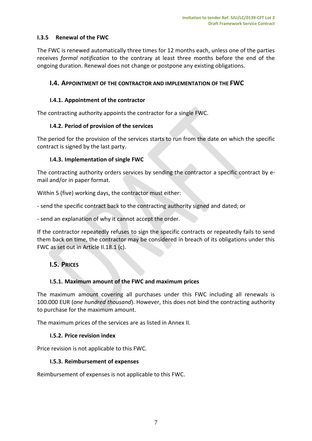# **I.3.5 Renewal of the FWC**

The FWC is renewed automatically three times for 12 months each, unless one of the parties receives *formal notification* to the contrary at least three months before the end of the ongoing duration. Renewal does not change or postpone any existing obligations.

# <span id="page-6-0"></span>**I.4. APPOINTMENT OF THE CONTRACTOR AND IMPLEMENTATION OF THE FWC**

# **I.4.1. Appointment of the contractor**

The contracting authority appoints the contractor for a single FWC.

# **I.4.2. Period of provision of the services**

The period for the provision of the services starts to run from the date on which the specific contract is signed by the last party.

# **I.4.3. Implementation of single FWC**

The contracting authority orders services by sending the contractor a specific contract by email and/or in paper format.

Within 5 (five) working days, the contractor must either:

- send the specific contract back to the contracting authority signed and dated; or

- send an explanation of why it cannot accept the order.

If the contractor repeatedly refuses to sign the specific contracts or repeatedly fails to send them back on time, the contractor may be considered in breach of its obligations under this FWC as set out in Article II.18.1 (c).

# <span id="page-6-1"></span>**I.5. PRICES**

# **I.5.1. Maximum amount of the FWC and maximum prices**

The maximum amount covering all purchases under this FWC including all renewals is 100.000 EUR (*one hundred thousand*). However, this does not bind the contracting authority to purchase for the maximum amount.

The maximum prices of the services are as listed in Annex II.

# **I.5.2. Price revision index**

Price revision is not applicable to this FWC.

# **I.5.3. Reimbursement of expenses**

Reimbursement of expenses is not applicable to this FWC.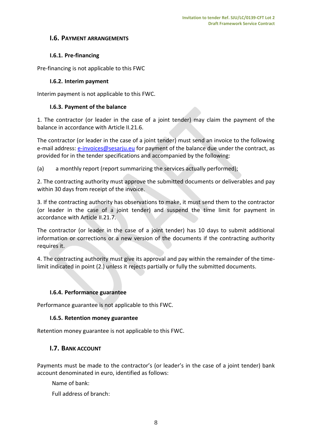# <span id="page-7-0"></span>**I.6. PAYMENT ARRANGEMENTS**

# **I.6.1. Pre-financing**

Pre-financing is not applicable to this FWC

## **I.6.2. Interim payment**

Interim payment is not applicable to this FWC.

## **I.6.3. Payment of the balance**

1. The contractor (or leader in the case of a joint tender) may claim the payment of the balance in accordance with Article II.21.6.

The contractor (or leader in the case of a joint tender) must send an invoice to the following e-mail address: [e-invoices@sesarju.eu](mailto:e-invoices@sesarju.eu) for payment of the balance due under the contract, as provided for in the tender specifications and accompanied by the following:

(a) a monthly report (report summarizing the services actually performed);

2. The contracting authority must approve the submitted documents or deliverables and pay within 30 days from receipt of the invoice.

3. If the contracting authority has observations to make, it must send them to the contractor (or leader in the case of a joint tender) and suspend the time limit for payment in accordance with Article II.21.7.

The contractor (or leader in the case of a joint tender) has 10 days to submit additional information or corrections or a new version of the documents if the contracting authority requires it.

4. The contracting authority must give its approval and pay within the remainder of the timelimit indicated in point (2.) unless it rejects partially or fully the submitted documents.

# **I.6.4. Performance guarantee**

Performance guarantee is not applicable to this FWC.

# **I.6.5. Retention money guarantee**

<span id="page-7-1"></span>Retention money guarantee is not applicable to this FWC.

# **I.7. BANK ACCOUNT**

Payments must be made to the contractor's (or leader's in the case of a joint tender) bank account denominated in euro, identified as follows:

Name of bank:

Full address of branch: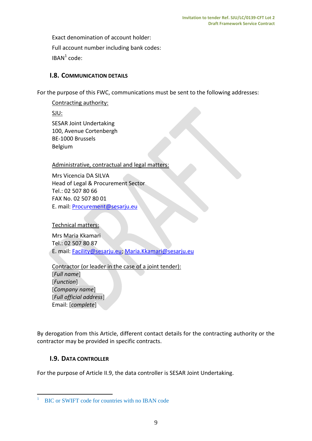Exact denomination of account holder: Full account number including bank codes:  $IBAN<sup>1</sup> code:$ 

# <span id="page-8-0"></span>**I.8. COMMUNICATION DETAILS**

For the purpose of this FWC, communications must be sent to the following addresses:

# Contracting authority:

SJU:

SESAR Joint Undertaking 100, Avenue Cortenbergh BE-1000 Brussels Belgium

# Administrative, contractual and legal matters:

Mrs Vicencia DA SILVA Head of Legal & Procurement Sector Tel.: 02 507 80 66 FAX No. 02 507 80 01 E. mail: [Procurement@sesarju.eu](mailto:Procurement@sesarju.eu)

Technical matters:

Mrs Maria Kkamari Tel.: 02 507 80 87 E. mail: [Facility@sesarju.eu;](mailto:Facility@sesarju.eu) [Maria.Kkamari@sesarju.eu](mailto:Maria.Kkamari@sesarju.eu)

# Contractor (or leader in the case of a joint tender):

[*Full name*] [*Function*] [*Company name*] [*Full official address*] Email: [*complete*]

By derogation from this Article, different contact details for the contracting authority or the contractor may be provided in specific contracts.

# <span id="page-8-1"></span>**I.9. DATA CONTROLLER**

 $\overline{a}$ 

For the purpose of Article II.9, the data controller is SESAR Joint Undertaking.

<sup>1</sup> BIC or SWIFT code for countries with no IBAN code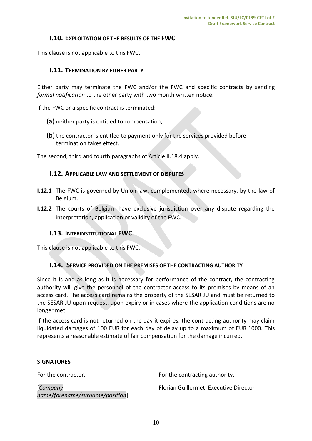# <span id="page-9-0"></span>**I.10. EXPLOITATION OF THE RESULTS OF THE FWC**

<span id="page-9-1"></span>This clause is not applicable to this FWC.

# **I.11. TERMINATION BY EITHER PARTY**

Either party may terminate the FWC and/or the FWC and specific contracts by sending *formal notification* to the other party with two month written notice.

If the FWC or a specific contract is terminated:

- (a) neither party is entitled to compensation;
- (b) the contractor is entitled to payment only for the services provided before termination takes effect.

<span id="page-9-2"></span>The second, third and fourth paragraphs of Article II.18.4 apply.

#### **I.12. APPLICABLE LAW AND SETTLEMENT OF DISPUTES**

- **I.12.1** The FWC is governed by Union law, complemented, where necessary, by the law of Belgium.
- **I.12.2** The courts of Belgium have exclusive jurisdiction over any dispute regarding the interpretation, application or validity of the FWC.

# <span id="page-9-3"></span>**I.13. INTERINSTITUTIONAL FWC**

This clause is not applicable to this FWC.

# <span id="page-9-4"></span>**I.14. SERVICE PROVIDED ON THE PREMISES OF THE CONTRACTING AUTHORITY**

Since it is and as long as it is necessary for performance of the contract, the contracting authority will give the personnel of the contractor access to its premises by means of an access card. The access card remains the property of the SESAR JU and must be returned to the SESAR JU upon request, upon expiry or in cases where the application conditions are no longer met.

If the access card is not returned on the day it expires, the contracting authority may claim liquidated damages of 100 EUR for each day of delay up to a maximum of EUR 1000. This represents a reasonable estimate of fair compensation for the damage incurred.

#### **SIGNATURES**

| For the contractor,                        | For the contracting authority,         |
|--------------------------------------------|----------------------------------------|
| Company<br>name/forename/surname/position] | Florian Guillermet, Executive Director |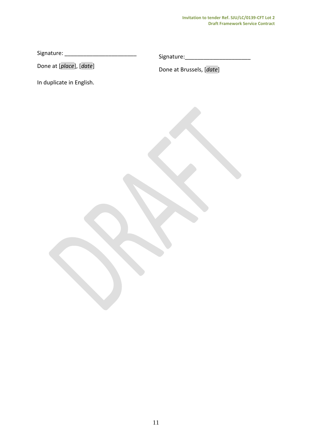#### **Invitation to tender Ref. SJU/LC/0139-CFT Lot 2 Draft Framework Service Contract**

Signature: \_\_\_\_\_\_\_\_\_\_\_\_\_\_\_\_\_\_\_\_\_\_\_

Signature:\_\_\_\_\_\_\_\_\_\_\_\_\_\_\_\_\_\_\_\_\_

Done at [*place*], [*date*]

In duplicate in English.

Done at Brussels, [*date*]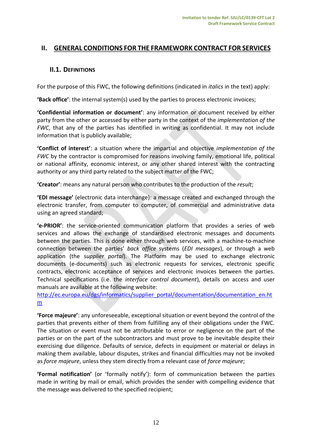# <span id="page-11-0"></span>**II. GENERAL CONDITIONS FOR THE FRAMEWORK CONTRACT FOR SERVICES**

# <span id="page-11-1"></span>**II.1. DEFINITIONS**

For the purpose of this FWC, the following definitions (indicated in *italics* in the text) apply:

**'Back office'**: the internal system(s) used by the parties to process electronic invoices;

**'Confidential information or document'**: any information or document received by either party from the other or accessed by either party in the context of the *implementation of the FWC*, that any of the parties has identified in writing as confidential. It may not include information that is publicly available;

**'Conflict of interest'**: a situation where the impartial and objective *implementation of the FWC* by the contractor is compromised for reasons involving family, emotional life, political or national affinity, economic interest, or any other shared interest with the contracting authority or any third party related to the subject matter of the FWC;

**'Creator'**: means any natural person who contributes to the production of the *result*;

**'EDI message'** (electronic data interchange): a message created and exchanged through the electronic transfer, from computer to computer, of commercial and administrative data using an agreed standard;

**'e-PRIOR'**: the service-oriented communication platform that provides a series of web services and allows the exchange of standardised electronic messages and documents between the parties. This is done either through web services, with a machine-to-machine connection between the parties' *back office* systems (*EDI messages*), or through a web application (the s*upplier portal*). The Platform may be used to exchange electronic documents (e-documents) such as electronic requests for services, electronic specific contracts, electronic acceptance of services and electronic invoices between the parties. Technical specifications (i.e. the *interface control document*), details on access and user manuals are available at the following website:

[http://ec.europa.eu/dgs/informatics/supplier\\_portal/documentation/documentation\\_en.ht](http://ec.europa.eu/dgs/informatics/supplier_portal/documentation/documentation_en.htm) [m](http://ec.europa.eu/dgs/informatics/supplier_portal/documentation/documentation_en.htm)

**'Force majeure'**: any unforeseeable, exceptional situation or event beyond the control of the parties that prevents either of them from fulfilling any of their obligations under the FWC. The situation or event must not be attributable to error or negligence on the part of the parties or on the part of the subcontractors and must prove to be inevitable despite their exercising due diligence. Defaults of service, defects in equipment or material or delays in making them available, labour disputes, strikes and financial difficulties may not be invoked as *force majeure*, unless they stem directly from a relevant case of *force majeure*;

**'Formal notification'** (or 'formally notify'): form of communication between the parties made in writing by mail or email, which provides the sender with compelling evidence that the message was delivered to the specified recipient;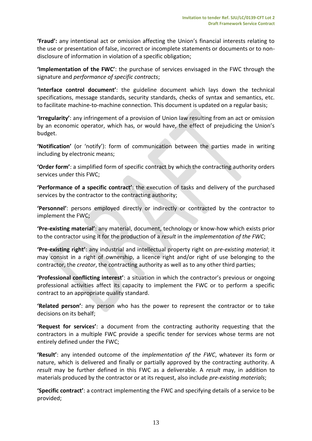**'Fraud':** any intentional act or omission affecting the Union's financial interests relating to the use or presentation of false, incorrect or incomplete statements or documents or to nondisclosure of information in violation of a specific obligation;

**'Implementation of the FWC'**: the purchase of services envisaged in the FWC through the signature and *performance of specific contracts*;

**'Interface control document'**: the guideline document which lays down the technical specifications, message standards, security standards, checks of syntax and semantics, etc. to facilitate machine-to-machine connection. This document is updated on a regular basis;

**'Irregularity'**: any infringement of a provision of Union law resulting from an act or omission by an economic operator, which has, or would have, the effect of prejudicing the Union's budget.

**'Notification'** (or 'notify'): form of communication between the parties made in writing including by electronic means;

**'Order form'**: a simplified form of specific contract by which the contracting authority orders services under this FWC;

**'Performance of a specific contract'**: the execution of tasks and delivery of the purchased services by the contractor to the contracting authority;

**'Personnel'**: persons employed directly or indirectly or contracted by the contractor to implement the FWC;

**'Pre-existing material'**: any material, document, technology or know-how which exists prior to the contractor using it for the production of a *result* in the *implementation of the FWC*;

**'Pre-existing right'**: any industrial and intellectual property right on *pre-existing material*; it may consist in a right of ownership, a licence right and/or right of use belonging to the contractor, the *creator*, the contracting authority as well as to any other third parties;

**'Professional conflicting interest'**: a situation in which the contractor's previous or ongoing professional activities affect its capacity to implement the FWC or to perform a specific contract to an appropriate quality standard.

**'Related person'**: any person who has the power to represent the contractor or to take decisions on its behalf;

**'Request for services'**: a document from the contracting authority requesting that the contractors in a multiple FWC provide a specific tender for services whose terms are not entirely defined under the FWC;

**'Result'**: any intended outcome of the *implementation of the FWC*, whatever its form or nature, which is delivered and finally or partially approved by the contracting authority. A *result* may be further defined in this FWC as a deliverable. A *result* may, in addition to materials produced by the contractor or at its request, also include *pre-existing materials*;

**'Specific contract'**: a contract implementing the FWC and specifying details of a service to be provided;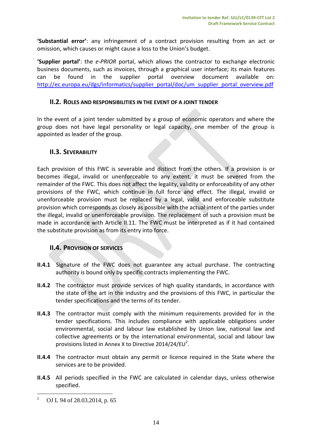**'Substantial error'**: any infringement of a contract provision resulting from an act or omission, which causes or might cause a loss to the Union's budget.

**'Supplier portal'**: the *e-PRIOR* portal, which allows the contractor to exchange electronic business documents, such as invoices, through a graphical user interface; its main features can be found in the supplier portal overview document available on: [http://ec.europa.eu/dgs/informatics/supplier\\_portal/doc/um\\_supplier\\_portal\\_overview.pdf](http://ec.europa.eu/dgs/informatics/supplier_portal/doc/um_supplier_portal_overview.pdf)

## <span id="page-13-0"></span>**II.2. ROLES AND RESPONSIBILITIES IN THE EVENT OF A JOINT TENDER**

In the event of a joint tender submitted by a group of economic operators and where the group does not have legal personality or legal capacity, one member of the group is appointed as leader of the group.

# <span id="page-13-1"></span>**II.3. SEVERABILITY**

Each provision of this FWC is severable and distinct from the others. If a provision is or becomes illegal, invalid or unenforceable to any extent, it must be severed from the remainder of the FWC. This does not affect the legality, validity or enforceability of any other provisions of the FWC, which continue in full force and effect. The illegal, invalid or unenforceable provision must be replaced by a legal, valid and enforceable substitute provision which corresponds as closely as possible with the actual intent of the parties under the illegal, invalid or unenforceable provision. The replacement of such a provision must be made in accordance with Article II.11. The FWC must be interpreted as if it had contained the substitute provision as from its entry into force.

# <span id="page-13-2"></span>**II.4. PROVISION OF SERVICES**

- **II.4.1** Signature of the FWC does not guarantee any actual purchase. The contracting authority is bound only by specific contracts implementing the FWC.
- **II.4.2** The contractor must provide services of high quality standards, in accordance with the state of the art in the industry and the provisions of this FWC, in particular the tender specifications and the terms of its tender.
- **II.4.3** The contractor must comply with the minimum requirements provided for in the tender specifications. This includes compliance with applicable obligations under environmental, social and labour law established by Union law, national law and collective agreements or by the international environmental, social and labour law provisions listed in Annex X to Directive 2014/24/EU<sup>2</sup>.
- **II.4.4** The contractor must obtain any permit or licence required in the State where the services are to be provided.
- **II.4.5** All periods specified in the FWC are calculated in calendar days, unless otherwise specified.

 $\overline{a}$ 

<sup>2</sup> OJ L 94 of 28.03.2014, p. 65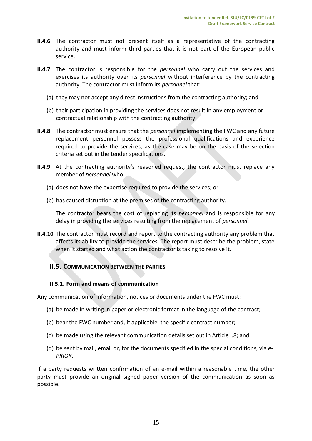- **II.4.6** The contractor must not present itself as a representative of the contracting authority and must inform third parties that it is not part of the European public service.
- **II.4.7** The contractor is responsible for the *personnel* who carry out the services and exercises its authority over its *personnel* without interference by the contracting authority. The contractor must inform its *personnel* that:
	- (a) they may not accept any direct instructions from the contracting authority; and
	- (b) their participation in providing the services does not result in any employment or contractual relationship with the contracting authority.
- **II.4.8** The contractor must ensure that the *personnel* implementing the FWC and any future replacement personnel possess the professional qualifications and experience required to provide the services, as the case may be on the basis of the selection criteria set out in the tender specifications.
- **II.4.9** At the contracting authority's reasoned request, the contractor must replace any member of *personnel* who:
	- (a) does not have the expertise required to provide the services; or
	- (b) has caused disruption at the premises of the contracting authority.

The contractor bears the cost of replacing its *personnel* and is responsible for any delay in providing the services resulting from the replacement of *personnel*.

**II.4.10** The contractor must record and report to the contracting authority any problem that affects its ability to provide the services. The report must describe the problem, state when it started and what action the contractor is taking to resolve it.

# <span id="page-14-0"></span>**II.5. COMMUNICATION BETWEEN THE PARTIES**

#### **II.5.1. Form and means of communication**

Any communication of information, notices or documents under the FWC must:

- (a) be made in writing in paper or electronic format in the language of the contract;
- (b) bear the FWC number and, if applicable, the specific contract number;
- (c) be made using the relevant communication details set out in Article I.8; and
- (d) be sent by mail, email or, for the documents specified in the special conditions, via *e-PRIOR*.

If a party requests written confirmation of an e-mail within a reasonable time, the other party must provide an original signed paper version of the communication as soon as possible.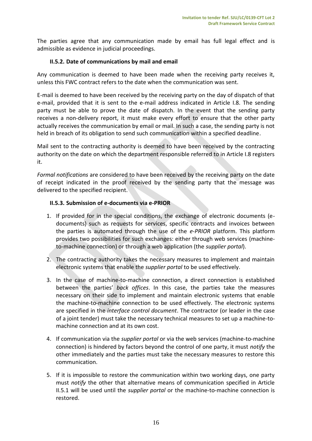The parties agree that any communication made by email has full legal effect and is admissible as evidence in judicial proceedings.

# **II.5.2. Date of communications by mail and email**

Any communication is deemed to have been made when the receiving party receives it, unless this FWC contract refers to the date when the communication was sent.

E-mail is deemed to have been received by the receiving party on the day of dispatch of that e-mail, provided that it is sent to the e-mail address indicated in Article I.8. The sending party must be able to prove the date of dispatch. In the event that the sending party receives a non-delivery report, it must make every effort to ensure that the other party actually receives the communication by email or mail. In such a case, the sending party is not held in breach of its obligation to send such communication within a specified deadline.

Mail sent to the contracting authority is deemed to have been received by the contracting authority on the date on which the department responsible referred to in Article I.8 registers it.

*Formal notifications* are considered to have been received by the receiving party on the date of receipt indicated in the proof received by the sending party that the message was delivered to the specified recipient.

# **II.5.3. Submission of e-documents via e-PRIOR**

- 1. If provided for in the special conditions, the exchange of electronic documents (edocuments) such as requests for services, specific contracts and invoices between the parties is automated through the use of the *e-PRIOR* platform. This platform provides two possibilities for such exchanges: either through web services (machineto-machine connection) or through a web application (the *supplier portal*).
- 2. The contracting authority takes the necessary measures to implement and maintain electronic systems that enable the *supplier portal* to be used effectively.
- 3. In the case of machine-to-machine connection, a direct connection is established between the parties' *back offices*. In this case, the parties take the measures necessary on their side to implement and maintain electronic systems that enable the machine-to-machine connection to be used effectively. The electronic systems are specified in the *interface control document*. The contractor (or leader in the case of a joint tender) must take the necessary technical measures to set up a machine-tomachine connection and at its own cost.
- 4. If communication via the *supplier portal* or via the web services (machine-to-machine connection) is hindered by factors beyond the control of one party, it must *notify* the other immediately and the parties must take the necessary measures to restore this communication.
- 5. If it is impossible to restore the communication within two working days, one party must *notify* the other that alternative means of communication specified in Article II.5.1 will be used until the *supplier portal* or the machine-to-machine connection is restored.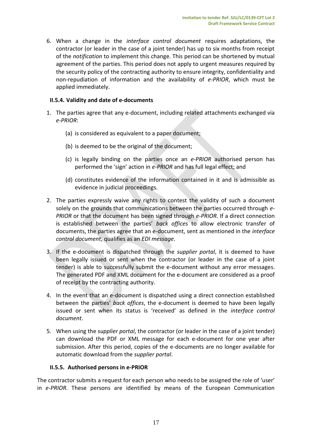6. When a change in the *interface control document* requires adaptations, the contractor (or leader in the case of a joint tender) has up to six months from receipt of the *notification* to implement this change. This period can be shortened by mutual agreement of the parties. This period does not apply to urgent measures required by the security policy of the contracting authority to ensure integrity, confidentiality and non-repudiation of information and the availability of *e-PRIOR*, which must be applied immediately.

# **II.5.4. Validity and date of e-documents**

- 1. The parties agree that any e-document, including related attachments exchanged via *e-PRIOR*:
	- (a) is considered as equivalent to a paper document;
	- (b) is deemed to be the original of the document;
	- (c) is legally binding on the parties once an *e-PRIOR* authorised person has performed the 'sign' action in *e-PRIOR* and has full legal effect; and
	- (d) constitutes evidence of the information contained in it and is admissible as evidence in judicial proceedings.
- 2. The parties expressly waive any rights to contest the validity of such a document solely on the grounds that communications between the parties occurred through *e-PRIOR* or that the document has been signed through *e-PRIOR*. If a direct connection is established between the parties' *back offices* to allow electronic transfer of documents, the parties agree that an e-document, sent as mentioned in the *interface control document*, qualifies as an *EDI message*.
- 3. If the e-document is dispatched through the *supplier portal*, it is deemed to have been legally issued or sent when the contractor (or leader in the case of a joint tender) is able to successfully submit the e-document without any error messages. The generated PDF and XML document for the e-document are considered as a proof of receipt by the contracting authority.
- 4. In the event that an e-document is dispatched using a direct connection established between the parties' *back offices*, the e-document is deemed to have been legally issued or sent when its status is 'received' as defined in the *interface control document*.
- 5. When using the *supplier portal*, the contractor (or leader in the case of a joint tender) can download the PDF or XML message for each e-document for one year after submission. After this period, copies of the e-documents are no longer available for automatic download from the *supplier portal*.

# **II.5.5. Authorised persons in e-PRIOR**

The contractor submits a request for each person who needs to be assigned the role of 'user' in *e-PRIOR*. These persons are identified by means of the European Communication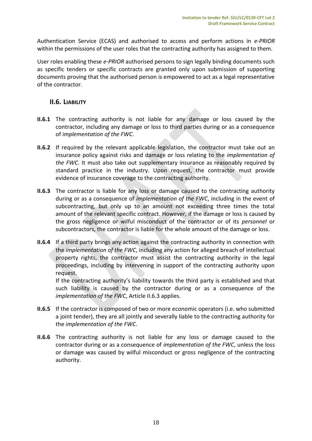Authentication Service (ECAS) and authorised to access and perform actions in *e-PRIOR* within the permissions of the user roles that the contracting authority has assigned to them.

User roles enabling these *e-PRIOR* authorised persons to sign legally binding documents such as specific tenders or specific contracts are granted only upon submission of supporting documents proving that the authorised person is empowered to act as a legal representative of the contractor.

# <span id="page-17-0"></span>**II.6. LIABILITY**

- **II.6.1** The contracting authority is not liable for any damage or loss caused by the contractor, including any damage or loss to third parties during or as a consequence of *implementation of the FWC*.
- **II.6.2** If required by the relevant applicable legislation, the contractor must take out an insurance policy against risks and damage or loss relating to the *implementation of the FWC*. It must also take out supplementary insurance as reasonably required by standard practice in the industry. Upon request, the contractor must provide evidence of insurance coverage to the contracting authority.
- **II.6.3** The contractor is liable for any loss or damage caused to the contracting authority during or as a consequence of *implementation of the FWC*, including in the event of subcontracting, but only up to an amount not exceeding three times the total amount of the relevant specific contract. However, if the damage or loss is caused by the gross negligence or wilful misconduct of the contractor or of its *personnel* or subcontractors, the contractor is liable for the whole amount of the damage or loss.
- **II.6.4** If a third party brings any action against the contracting authority in connection with the *implementation of the FWC*, including any action for alleged breach of intellectual property rights, the contractor must assist the contracting authority in the legal proceedings, including by intervening in support of the contracting authority upon request.

If the contracting authority's liability towards the third party is established and that such liability is caused by the contractor during or as a consequence of the *implementation of the FWC*, Article II.6.3 applies.

- **II.6.5** If the contractor is composed of two or more economic operators (i.e. who submitted a joint tender), they are all jointly and severally liable to the contracting authority for the *implementation of the FWC*.
- **II.6.6** The contracting authority is not liable for any loss or damage caused to the contractor during or as a consequence of *implementation of the FWC*, unless the loss or damage was caused by wilful misconduct or gross negligence of the contracting authority.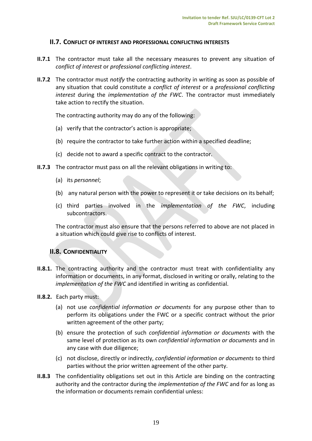#### <span id="page-18-0"></span>**II.7. CONFLICT OF INTEREST AND PROFESSIONAL CONFLICTING INTERESTS**

- **II.7.1** The contractor must take all the necessary measures to prevent any situation of *conflict of interest* or *professional conflicting interest*.
- **II.7.2** The contractor must *notify* the contracting authority in writing as soon as possible of any situation that could constitute a *conflict of interest* or a *professional conflicting interest* during the *implementation of the FWC*. The contractor must immediately take action to rectify the situation.

The contracting authority may do any of the following:

- (a) verify that the contractor's action is appropriate;
- (b) require the contractor to take further action within a specified deadline;
- (c) decide not to award a specific contract to the contractor.
- **II.7.3** The contractor must pass on all the relevant obligations in writing to:
	- (a) its *personnel*;
	- (b) any natural person with the power to represent it or take decisions on its behalf;
	- (c) third parties involved in the *implementation of the FWC*, including subcontractors.

The contractor must also ensure that the persons referred to above are not placed in a situation which could give rise to conflicts of interest.

# <span id="page-18-1"></span>**II.8. CONFIDENTIALITY**

- **II.8.1.** The contracting authority and the contractor must treat with confidentiality any information or documents, in any format, disclosed in writing or orally, relating to the *implementation of the FWC* and identified in writing as confidential.
- **II.8.2.** Each party must:
	- (a) not use *confidential information or documents* for any purpose other than to perform its obligations under the FWC or a specific contract without the prior written agreement of the other party;
	- (b) ensure the protection of such *confidential information or documents* with the same level of protection as its own *confidential information or documents* and in any case with due diligence;
	- (c) not disclose, directly or indirectly, *confidential information or documents* to third parties without the prior written agreement of the other party.
- **II.8.3** The confidentiality obligations set out in this Article are binding on the contracting authority and the contractor during the *implementation of the FWC* and for as long as the information or documents remain confidential unless: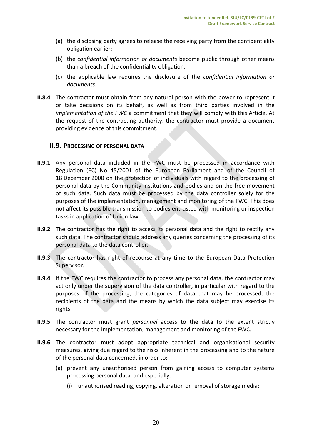- (a) the disclosing party agrees to release the receiving party from the confidentiality obligation earlier;
- (b) the *confidential information or documents* become public through other means than a breach of the confidentiality obligation;
- (c) the applicable law requires the disclosure of the *confidential information or documents*.
- **II.8.4** The contractor must obtain from any natural person with the power to represent it or take decisions on its behalf, as well as from third parties involved in the *implementation of the FWC* a commitment that they will comply with this Article. At the request of the contracting authority, the contractor must provide a document providing evidence of this commitment.

#### <span id="page-19-0"></span>**II.9. PROCESSING OF PERSONAL DATA**

- **II.9.1** Any personal data included in the FWC must be processed in accordance with Regulation (EC) No 45/2001 of the European Parliament and of the Council of 18 December 2000 on the protection of individuals with regard to the processing of personal data by the Community institutions and bodies and on the free movement of such data. Such data must be processed by the data controller solely for the purposes of the implementation, management and monitoring of the FWC. This does not affect its possible transmission to bodies entrusted with monitoring or inspection tasks in application of Union law.
- **II.9.2** The contractor has the right to access its personal data and the right to rectify any such data. The contractor should address any queries concerning the processing of its personal data to the data controller.
- **II.9.3** The contractor has right of recourse at any time to the European Data Protection Supervisor.
- **II.9.4** If the FWC requires the contractor to process any personal data, the contractor may act only under the supervision of the data controller, in particular with regard to the purposes of the processing, the categories of data that may be processed, the recipients of the data and the means by which the data subject may exercise its rights.
- **II.9.5** The contractor must grant *personnel* access to the data to the extent strictly necessary for the implementation, management and monitoring of the FWC.
- **II.9.6** The contractor must adopt appropriate technical and organisational security measures, giving due regard to the risks inherent in the processing and to the nature of the personal data concerned, in order to:
	- (a) prevent any unauthorised person from gaining access to computer systems processing personal data, and especially:
		- (i) unauthorised reading, copying, alteration or removal of storage media;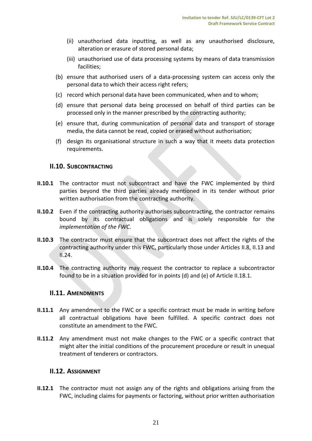- (ii) unauthorised data inputting, as well as any unauthorised disclosure, alteration or erasure of stored personal data;
- (iii) unauthorised use of data processing systems by means of data transmission facilities;
- (b) ensure that authorised users of a data-processing system can access only the personal data to which their access right refers;
- (c) record which personal data have been communicated, when and to whom;
- (d) ensure that personal data being processed on behalf of third parties can be processed only in the manner prescribed by the contracting authority;
- (e) ensure that, during communication of personal data and transport of storage media, the data cannot be read, copied or erased without authorisation;
- (f) design its organisational structure in such a way that it meets data protection requirements.

# <span id="page-20-0"></span>**II.10. SUBCONTRACTING**

- **II.10.1** The contractor must not subcontract and have the FWC implemented by third parties beyond the third parties already mentioned in its tender without prior written authorisation from the contracting authority.
- **II.10.2** Even if the contracting authority authorises subcontracting, the contractor remains bound by its contractual obligations and is solely responsible for the *implementation of the FWC*.
- **II.10.3** The contractor must ensure that the subcontract does not affect the rights of the contracting authority under this FWC, particularly those under Articles II.8, II.13 and II.24.
- **II.10.4** The contracting authority may request the contractor to replace a subcontractor found to be in a situation provided for in points (d) and (e) of Article II.18.1.

# <span id="page-20-1"></span>**II.11. AMENDMENTS**

- **II.11.1** Any amendment to the FWC or a specific contract must be made in writing before all contractual obligations have been fulfilled. A specific contract does not constitute an amendment to the FWC.
- **II.11.2** Any amendment must not make changes to the FWC or a specific contract that might alter the initial conditions of the procurement procedure or result in unequal treatment of tenderers or contractors.

#### <span id="page-20-2"></span>**II.12. ASSIGNMENT**

**II.12.1** The contractor must not assign any of the rights and obligations arising from the FWC, including claims for payments or factoring, without prior written authorisation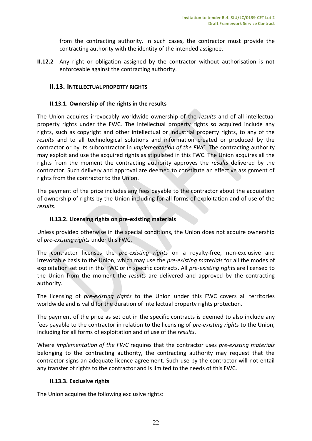from the contracting authority. In such cases, the contractor must provide the contracting authority with the identity of the intended assignee.

**II.12.2** Any right or obligation assigned by the contractor without authorisation is not enforceable against the contracting authority.

## <span id="page-21-0"></span>**II.13. INTELLECTUAL PROPERTY RIGHTS**

#### **II.13.1. Ownership of the rights in the results**

The Union acquires irrevocably worldwide ownership of the *results* and of all intellectual property rights under the FWC. The intellectual property rights so acquired include any rights, such as copyright and other intellectual or industrial property rights, to any of the *results* and to all technological solutions and information created or produced by the contractor or by its subcontractor in *implementation of the FWC*. The contracting authority may exploit and use the acquired rights as stipulated in this FWC. The Union acquires all the rights from the moment the contracting authority approves the *results* delivered by the contractor. Such delivery and approval are deemed to constitute an effective assignment of rights from the contractor to the Union.

The payment of the price includes any fees payable to the contractor about the acquisition of ownership of rights by the Union including for all forms of exploitation and of use of the *results*.

#### **II.13.2. Licensing rights on pre-existing materials**

Unless provided otherwise in the special conditions, the Union does not acquire ownership of *pre-existing rights* under this FWC.

The contractor licenses the *pre-existing rights* on a royalty-free, non-exclusive and irrevocable basis to the Union, which may use the *pre-existing materials* for all the modes of exploitation set out in this FWC or in specific contracts. All *pre-existing rights* are licensed to the Union from the moment the *results* are delivered and approved by the contracting authority.

The licensing of *pre-existing rights* to the Union under this FWC covers all territories worldwide and is valid for the duration of intellectual property rights protection.

The payment of the price as set out in the specific contracts is deemed to also include any fees payable to the contractor in relation to the licensing of *pre-existing rights* to the Union, including for all forms of exploitation and of use of the *results*.

Where *implementation of the FWC* requires that the contractor uses *pre-existing materials* belonging to the contracting authority, the contracting authority may request that the contractor signs an adequate licence agreement. Such use by the contractor will not entail any transfer of rights to the contractor and is limited to the needs of this FWC.

#### **II.13.3. Exclusive rights**

The Union acquires the following exclusive rights: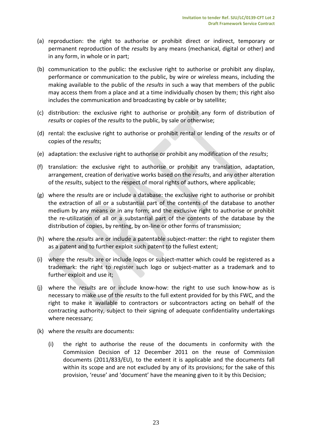- (a) reproduction: the right to authorise or prohibit direct or indirect, temporary or permanent reproduction of the *results* by any means (mechanical, digital or other) and in any form, in whole or in part;
- (b) communication to the public: the exclusive right to authorise or prohibit any display, performance or communication to the public, by wire or wireless means, including the making available to the public of the *results* in such a way that members of the public may access them from a place and at a time individually chosen by them; this right also includes the communication and broadcasting by cable or by satellite;
- (c) distribution: the exclusive right to authorise or prohibit any form of distribution of *results* or copies of the *results* to the public, by sale or otherwise;
- (d) rental: the exclusive right to authorise or prohibit rental or lending of the *results* or of copies of the *results*;
- (e) adaptation: the exclusive right to authorise or prohibit any modification of the *results*;
- (f) translation: the exclusive right to authorise or prohibit any translation, adaptation, arrangement, creation of derivative works based on the *results*, and any other alteration of the *results*, subject to the respect of moral rights of authors, where applicable;
- (g) where the *results* are or include a database: the exclusive right to authorise or prohibit the extraction of all or a substantial part of the contents of the database to another medium by any means or in any form; and the exclusive right to authorise or prohibit the re-utilization of all or a substantial part of the contents of the database by the distribution of copies, by renting, by on-line or other forms of transmission;
- (h) where the *results* are or include a patentable subject-matter: the right to register them as a patent and to further exploit such patent to the fullest extent;
- (i) where the *results* are or include logos or subject-matter which could be registered as a trademark: the right to register such logo or subject-matter as a trademark and to further exploit and use it;
- (j) where the *results* are or include know-how: the right to use such know-how as is necessary to make use of the *results* to the full extent provided for by this FWC, and the right to make it available to contractors or subcontractors acting on behalf of the contracting authority, subject to their signing of adequate confidentiality undertakings where necessary;
- (k) where the *results* are documents:
	- (i) the right to authorise the reuse of the documents in conformity with the Commission Decision of 12 December 2011 on the reuse of Commission documents (2011/833/EU), to the extent it is applicable and the documents fall within its scope and are not excluded by any of its provisions; for the sake of this provision, 'reuse' and 'document' have the meaning given to it by this Decision;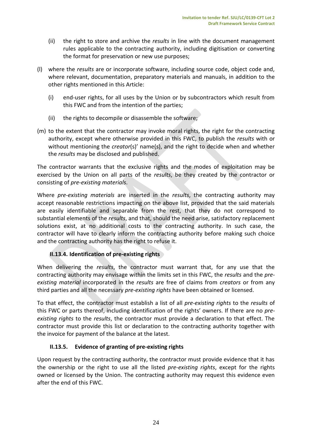- (ii) the right to store and archive the *results* in line with the document management rules applicable to the contracting authority, including digitisation or converting the format for preservation or new use purposes;
- (l) where the *results* are or incorporate software, including source code, object code and, where relevant, documentation, preparatory materials and manuals, in addition to the other rights mentioned in this Article:
	- (i) end-user rights, for all uses by the Union or by subcontractors which result from this FWC and from the intention of the parties;
	- (ii) the rights to decompile or disassemble the software;
- (m) to the extent that the contractor may invoke moral rights, the right for the contracting authority, except where otherwise provided in this FWC, to publish the *results* with or without mentioning the *creator*(s)' name(s), and the right to decide when and whether the *results* may be disclosed and published.

The contractor warrants that the exclusive rights and the modes of exploitation may be exercised by the Union on all parts of the *results*, be they created by the contractor or consisting of *pre-existing materials*.

Where *pre-existing materials* are inserted in the *results*, the contracting authority may accept reasonable restrictions impacting on the above list, provided that the said materials are easily identifiable and separable from the rest, that they do not correspond to substantial elements of the *results*, and that, should the need arise, satisfactory replacement solutions exist, at no additional costs to the contracting authority. In such case, the contractor will have to clearly inform the contracting authority before making such choice and the contracting authority has the right to refuse it.

# **II.13.4. Identification of pre-existing rights**

When delivering the *results*, the contractor must warrant that, for any use that the contracting authority may envisage within the limits set in this FWC, the *results* and the *preexisting material* incorporated in the *results* are free of claims from *creators* or from any third parties and all the necessary *pre-existing rights* have been obtained or licensed.

To that effect, the contractor must establish a list of all *pre-existing rights* to the *results* of this FWC or parts thereof, including identification of the rights' owners. If there are no *preexisting rights* to the *results*, the contractor must provide a declaration to that effect. The contractor must provide this list or declaration to the contracting authority together with the invoice for payment of the balance at the latest.

# **II.13.5. Evidence of granting of pre-existing rights**

Upon request by the contracting authority, the contractor must provide evidence that it has the ownership or the right to use all the listed *pre-existing rights*, except for the rights owned or licensed by the Union. The contracting authority may request this evidence even after the end of this FWC.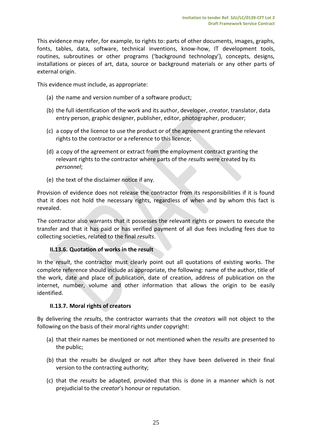This evidence may refer, for example, to rights to: parts of other documents, images, graphs, fonts, tables, data, software, technical inventions, know-how, IT development tools, routines, subroutines or other programs ('background technology'), concepts, designs, installations or pieces of art, data, source or background materials or any other parts of external origin.

This evidence must include, as appropriate:

- (a) the name and version number of a software product;
- (b) the full identification of the work and its author, developer, *creator*, translator, data entry person, graphic designer, publisher, editor, photographer, producer;
- (c) a copy of the licence to use the product or of the agreement granting the relevant rights to the contractor or a reference to this licence;
- (d) a copy of the agreement or extract from the employment contract granting the relevant rights to the contractor where parts of the *results* were created by its *personnel*;
- (e) the text of the disclaimer notice if any.

Provision of evidence does not release the contractor from its responsibilities if it is found that it does not hold the necessary rights, regardless of when and by whom this fact is revealed.

The contractor also warrants that it possesses the relevant rights or powers to execute the transfer and that it has paid or has verified payment of all due fees including fees due to collecting societies, related to the final *results*.

# **II.13.6. Quotation of works in the result**

In the *result*, the contractor must clearly point out all quotations of existing works. The complete reference should include as appropriate, the following: name of the author, title of the work, date and place of publication, date of creation, address of publication on the internet, number, volume and other information that allows the origin to be easily identified.

#### **II.13.7. Moral rights of creators**

By delivering the *results*, the contractor warrants that the *creators* will not object to the following on the basis of their moral rights under copyright:

- (a) that their names be mentioned or not mentioned when the *results* are presented to the public;
- (b) that the *results* be divulged or not after they have been delivered in their final version to the contracting authority;
- (c) that the *results* be adapted, provided that this is done in a manner which is not prejudicial to the *creator*'s honour or reputation.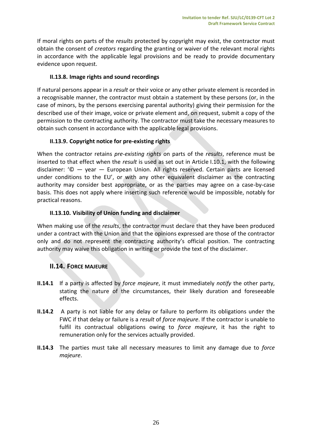If moral rights on parts of the *results* protected by copyright may exist, the contractor must obtain the consent of *creators* regarding the granting or waiver of the relevant moral rights in accordance with the applicable legal provisions and be ready to provide documentary evidence upon request.

# **II.13.8. Image rights and sound recordings**

If natural persons appear in a *result* or their voice or any other private element is recorded in a recognisable manner, the contractor must obtain a statement by these persons (or, in the case of minors, by the persons exercising parental authority) giving their permission for the described use of their image, voice or private element and, on request, submit a copy of the permission to the contracting authority. The contractor must take the necessary measures to obtain such consent in accordance with the applicable legal provisions.

# **II.13.9. Copyright notice for pre-existing rights**

When the contractor retains *pre-existing rights* on parts of the *results*, reference must be inserted to that effect when the *result* is used as set out in Article I.10.1, with the following disclaimer: '© — year — European Union. All rights reserved. Certain parts are licensed under conditions to the EU', or with any other equivalent disclaimer as the contracting authority may consider best appropriate, or as the parties may agree on a case-by-case basis. This does not apply where inserting such reference would be impossible, notably for practical reasons.

# **II.13.10. Visibility of Union funding and disclaimer**

When making use of the *results*, the contractor must declare that they have been produced under a contract with the Union and that the opinions expressed are those of the contractor only and do not represent the contracting authority's official position. The contracting authority may waive this obligation in writing or provide the text of the disclaimer.

# <span id="page-25-0"></span>**II.14. FORCE MAJEURE**

- **II.14.1** If a party is affected by *force majeure*, it must immediately *notify* the other party, stating the nature of the circumstances, their likely duration and foreseeable effects.
- **II.14.2** A party is not liable for any delay or failure to perform its obligations under the FWC if that delay or failure is a *result* of *force majeure*. If the contractor is unable to fulfil its contractual obligations owing to *force majeure*, it has the right to remuneration only for the services actually provided.
- **II.14.3** The parties must take all necessary measures to limit any damage due to *force majeure*.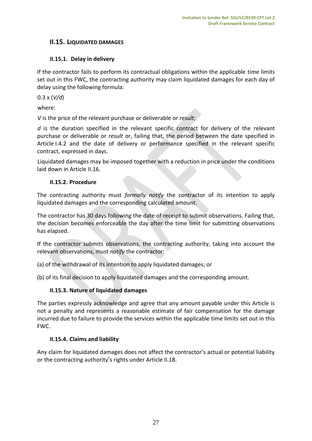# <span id="page-26-0"></span>**II.15. LIQUIDATED DAMAGES**

# **II.15.1. Delay in delivery**

If the contractor fails to perform its contractual obligations within the applicable time limits set out in this FWC, the contracting authority may claim liquidated damages for each day of delay using the following formula:

0.3 x (*V/d*)

where:

*V* is the price of the relevant purchase or deliverable or *result*;

*d* is the duration specified in the relevant specific contract for delivery of the relevant purchase or deliverable or *result* or, failing that, the period between the date specified in Article I.4.2 and the date of delivery or performance specified in the relevant specific contract, expressed in days.

Liquidated damages may be imposed together with a reduction in price under the conditions laid down in Article II.16.

# **II.15.2. Procedure**

The contracting authority must *formally notify* the contractor of its intention to apply liquidated damages and the corresponding calculated amount.

The contractor has 30 days following the date of receipt to submit observations. Failing that, the decision becomes enforceable the day after the time limit for submitting observations has elapsed.

If the contractor submits observations, the contracting authority, taking into account the relevant observations, must *notify* the contractor:

(a) of the withdrawal of its intention to apply liquidated damages; or

(b) of its final decision to apply liquidated damages and the corresponding amount.

# **II.15.3. Nature of liquidated damages**

The parties expressly acknowledge and agree that any amount payable under this Article is not a penalty and represents a reasonable estimate of fair compensation for the damage incurred due to failure to provide the services within the applicable time limits set out in this FWC.

# **II.15.4. Claims and liability**

Any claim for liquidated damages does not affect the contractor's actual or potential liability or the contracting authority's rights under Article II.18.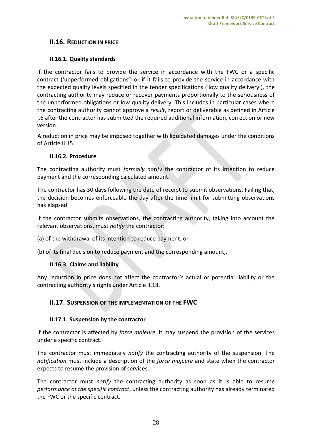# <span id="page-27-0"></span>**II.16. REDUCTION IN PRICE**

# **II.16.1. Quality standards**

If the contractor fails to provide the service in accordance with the FWC or a specific contract ('unperformed obligations') or if it fails to provide the service in accordance with the expected quality levels specified in the tender specifications ('low quality delivery'), the contracting authority may reduce or recover payments proportionally to the seriousness of the unperformed obligations or low quality delivery. This includes in particular cases where the contracting authority cannot approve a *result*, report or deliverable as defined in Article I.6 after the contractor has submitted the required additional information, correction or new version.

A reduction in price may be imposed together with liquidated damages under the conditions of Article II.15.

# **II.16.2. Procedure**

The contracting authority must *formally notify* the contractor of its intention to reduce payment and the corresponding calculated amount.

The contractor has 30 days following the date of receipt to submit observations. Failing that, the decision becomes enforceable the day after the time limit for submitting observations has elapsed.

If the contractor submits observations, the contracting authority, taking into account the relevant observations, must *notify* the contractor:

- (a) of the withdrawal of its intention to reduce payment; or
- (b) of its final decision to reduce payment and the corresponding amount,.

# **II.16.3. Claims and liability**

Any reduction in price does not affect the contractor's actual or potential liability or the contracting authority's rights under Article II.18.

# <span id="page-27-1"></span>**II.17. SUSPENSION OF THE IMPLEMENTATION OF THE FWC**

# **II.17.1. Suspension by the contractor**

If the contractor is affected by *force majeure*, it may suspend the provision of the services under a specific contract.

The contractor must immediately *notify* the contracting authority of the suspension. The *notification* must include a description of the *force majeure* and state when the contractor expects to resume the provision of services.

The contractor must *notify* the contracting authority as soon as it is able to resume *performance of the specific contract*, unless the contracting authority has already terminated the FWC or the specific contract.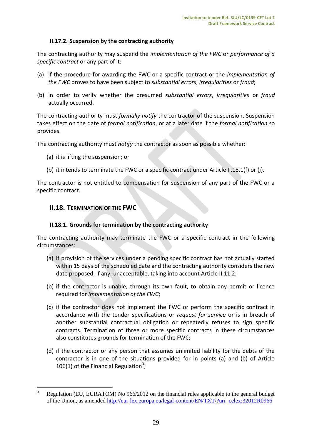# **II.17.2. Suspension by the contracting authority**

The contracting authority may suspend the *implementation of the FWC* or *performance of a specific contract* or any part of it:

- (a) if the procedure for awarding the FWC or a specific contract or the *implementation of the FWC* proves to have been subject to *substantial errors*, *irregularities* or *fraud*;
- (b) in order to verify whether the presumed *substantial errors*, *irregularities* or *fraud* actually occurred.

The contracting authority must *formally notify* the contractor of the suspension. Suspension takes effect on the date of *formal notification*, or at a later date if the *formal notification* so provides.

The contracting authority must *notify* the contractor as soon as possible whether:

- (a) it is lifting the suspension; or
- (b) it intends to terminate the FWC or a specific contract under Article II.18.1(f) or (j).

The contractor is not entitled to compensation for suspension of any part of the FWC or a specific contract.

# <span id="page-28-0"></span>**II.18. TERMINATION OF THE FWC**

 $\overline{a}$ 

# **II.18.1. Grounds for termination by the contracting authority**

The contracting authority may terminate the FWC or a specific contract in the following circumstances:

- (a) if provision of the services under a pending specific contract has not actually started within 15 days of the scheduled date and the contracting authority considers the new date proposed, if any, unacceptable, taking into account Article II.11.2;
- (b) if the contractor is unable, through its own fault, to obtain any permit or licence required for *implementation of the FWC*;
- (c) if the contractor does not implement the FWC or perform the specific contract in accordance with the tender specifications or *request for service* or is in breach of another substantial contractual obligation or repeatedly refuses to sign specific contracts. Termination of three or more specific contracts in these circumstances also constitutes grounds for termination of the FWC;
- (d) if the contractor or any person that assumes unlimited liability for the debts of the contractor is in one of the situations provided for in points (a) and (b) of Article 106(1) of the Financial Regulation<sup>3</sup>;

<sup>3</sup> Regulation (EU, EURATOM) No 966/2012 on the financial rules applicable to the general budget of the Union, as amended<http://eur-lex.europa.eu/legal-content/EN/TXT/?uri=celex:32012R0966>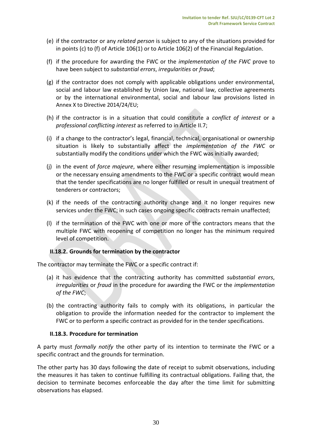- (e) if the contractor or any *related person* is subject to any of the situations provided for in points (c) to (f) of Article 106(1) or to Article 106(2) of the Financial Regulation.
- (f) if the procedure for awarding the FWC or the *implementation of the FWC* prove to have been subject to *substantial errors*, *irregularities* or *fraud*;
- (g) if the contractor does not comply with applicable obligations under environmental, social and labour law established by Union law, national law, collective agreements or by the international environmental, social and labour law provisions listed in Annex X to Directive 2014/24/EU;
- (h) if the contractor is in a situation that could constitute a *conflict of interest* or a *professional conflicting interest* as referred to in Article II.7;
- (i) if a change to the contractor's legal, financial, technical, organisational or ownership situation is likely to substantially affect the *implementation of the FWC* or substantially modify the conditions under which the FWC was initially awarded;
- (j) in the event of *force majeure*, where either resuming implementation is impossible or the necessary ensuing amendments to the FWC or a specific contract would mean that the tender specifications are no longer fulfilled or result in unequal treatment of tenderers or contractors;
- (k) if the needs of the contracting authority change and it no longer requires new services under the FWC; in such cases ongoing specific contracts remain unaffected;
- (l) if the termination of the FWC with one or more of the contractors means that the multiple FWC with reopening of competition no longer has the minimum required level of competition.

# **II.18.2. Grounds for termination by the contractor**

The contractor may terminate the FWC or a specific contract if:

- (a) it has evidence that the contracting authority has committed *substantial errors*, *irregularities* or *fraud* in the procedure for awarding the FWC or the *implementation of the FWC*;
- (b) the contracting authority fails to comply with its obligations, in particular the obligation to provide the information needed for the contractor to implement the FWC or to perform a specific contract as provided for in the tender specifications.

#### **II.18.3. Procedure for termination**

A party must *formally notify* the other party of its intention to terminate the FWC or a specific contract and the grounds for termination.

The other party has 30 days following the date of receipt to submit observations, including the measures it has taken to continue fulfilling its contractual obligations. Failing that, the decision to terminate becomes enforceable the day after the time limit for submitting observations has elapsed.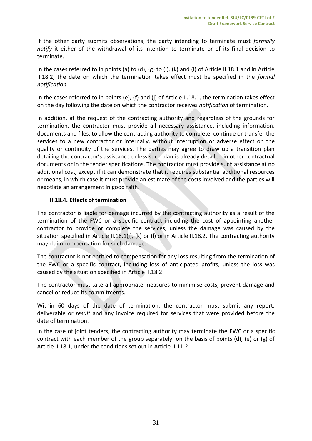If the other party submits observations, the party intending to terminate must *formally notify* it either of the withdrawal of its intention to terminate or of its final decision to terminate.

In the cases referred to in points (a) to (d), (g) to (i), (k) and (l) of Article II.18.1 and in Article II.18.2, the date on which the termination takes effect must be specified in the *formal notification*.

In the cases referred to in points (e), (f) and (j) of Article II.18.1, the termination takes effect on the day following the date on which the contractor receives *notification* of termination.

In addition, at the request of the contracting authority and regardless of the grounds for termination, the contractor must provide all necessary assistance, including information, documents and files, to allow the contracting authority to complete, continue or transfer the services to a new contractor or internally, without interruption or adverse effect on the quality or continuity of the services. The parties may agree to draw up a transition plan detailing the contractor's assistance unless such plan is already detailed in other contractual documents or in the tender specifications. The contractor must provide such assistance at no additional cost, except if it can demonstrate that it requires substantial additional resources or means, in which case it must provide an estimate of the costs involved and the parties will negotiate an arrangement in good faith.

# **II.18.4. Effects of termination**

The contractor is liable for damage incurred by the contracting authority as a result of the termination of the FWC or a specific contract including the cost of appointing another contractor to provide or complete the services, unless the damage was caused by the situation specified in Article II.18.1(j), (k) or (l) or in Article II.18.2. The contracting authority may claim compensation for such damage.

The contractor is not entitled to compensation for any loss resulting from the termination of the FWC or a specific contract, including loss of anticipated profits, unless the loss was caused by the situation specified in Article II.18.2.

The contractor must take all appropriate measures to minimise costs, prevent damage and cancel or reduce its commitments.

Within 60 days of the date of termination, the contractor must submit any report, deliverable or *result* and any invoice required for services that were provided before the date of termination.

In the case of joint tenders, the contracting authority may terminate the FWC or a specific contract with each member of the group separately on the basis of points (d), (e) or (g) of Article II.18.1, under the conditions set out in Article II.11.2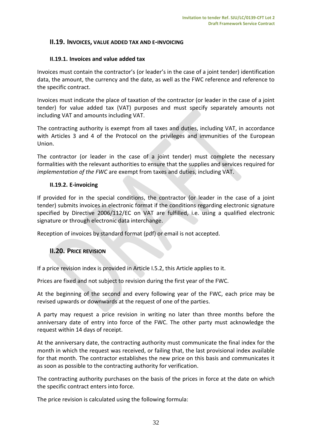# <span id="page-31-0"></span>**II.19. INVOICES, VALUE ADDED TAX AND E-INVOICING**

## **II.19.1. Invoices and value added tax**

Invoices must contain the contractor's (or leader's in the case of a joint tender) identification data, the amount, the currency and the date, as well as the FWC reference and reference to the specific contract.

Invoices must indicate the place of taxation of the contractor (or leader in the case of a joint tender) for value added tax (VAT) purposes and must specify separately amounts not including VAT and amounts including VAT.

The contracting authority is exempt from all taxes and duties, including VAT, in accordance with Articles 3 and 4 of the Protocol on the privileges and immunities of the European Union.

The contractor (or leader in the case of a joint tender) must complete the necessary formalities with the relevant authorities to ensure that the supplies and services required for *implementation of the FWC* are exempt from taxes and duties, including VAT.

#### **II.19.2. E-invoicing**

If provided for in the special conditions, the contractor (or leader in the case of a joint tender) submits invoices in electronic format if the conditions regarding electronic signature specified by Directive 2006/112/EC on VAT are fulfilled, i.e. using a qualified electronic signature or through electronic data interchange.

<span id="page-31-1"></span>Reception of invoices by standard format (pdf) or email is not accepted.

# **II.20. PRICE REVISION**

If a price revision index is provided in Article I.5.2, this Article applies to it.

Prices are fixed and not subject to revision during the first year of the FWC.

At the beginning of the second and every following year of the FWC, each price may be revised upwards or downwards at the request of one of the parties.

A party may request a price revision in writing no later than three months before the anniversary date of entry into force of the FWC. The other party must acknowledge the request within 14 days of receipt.

At the anniversary date, the contracting authority must communicate the final index for the month in which the request was received, or failing that, the last provisional index available for that month. The contractor establishes the new price on this basis and communicates it as soon as possible to the contracting authority for verification.

The contracting authority purchases on the basis of the prices in force at the date on which the specific contract enters into force.

The price revision is calculated using the following formula: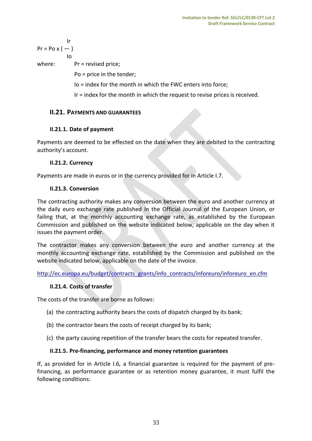$$
Pr = Po \times (-)
$$
  
lo

where: Pr = revised price;

Po = price in the tender;

Io = index for the month in which the FWC enters into force;

Ir = index for the month in which the request to revise prices is received.

# <span id="page-32-0"></span>**II.21. PAYMENTS AND GUARANTEES**

# **II.21.1. Date of payment**

Payments are deemed to be effected on the date when they are debited to the contracting authority's account.

# **II.21.2. Currency**

Payments are made in euros or in the currency provided for in Article I.7.

# **II.21.3. Conversion**

The contracting authority makes any conversion between the euro and another currency at the daily euro exchange rate published in the Official Journal of the European Union, or failing that, at the monthly accounting exchange rate, as established by the European Commission and published on the website indicated below, applicable on the day when it issues the payment order.

The contractor makes any conversion between the euro and another currency at the monthly accounting exchange rate, established by the Commission and published on the website indicated below, applicable on the date of the invoice.

[http://ec.europa.eu/budget/contracts\\_grants/info\\_contracts/inforeuro/inforeuro\\_en.cfm](http://ec.europa.eu/budget/contracts_grants/info_contracts/inforeuro/inforeuro_en.cfm)

# **II.21.4. Costs of transfer**

The costs of the transfer are borne as follows:

- (a) the contracting authority bears the costs of dispatch charged by its bank;
- (b) the contractor bears the costs of receipt charged by its bank;
- (c) the party causing repetition of the transfer bears the costs for repeated transfer.

# **II.21.5. Pre-financing, performance and money retention guarantees**

If, as provided for in Article I.6*,* a financial guarantee is required for the payment of prefinancing, as performance guarantee or as retention money guarantee, it must fulfil the following conditions: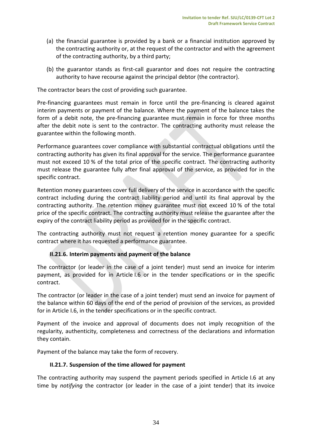- (a) the financial guarantee is provided by a bank or a financial institution approved by the contracting authority or, at the request of the contractor and with the agreement of the contracting authority, by a third party;
- (b) the guarantor stands as first-call guarantor and does not require the contracting authority to have recourse against the principal debtor (the contractor).

The contractor bears the cost of providing such guarantee.

Pre-financing guarantees must remain in force until the pre-financing is cleared against interim payments or payment of the balance. Where the payment of the balance takes the form of a debit note, the pre-financing guarantee must remain in force for three months after the debit note is sent to the contractor. The contracting authority must release the guarantee within the following month.

Performance guarantees cover compliance with substantial contractual obligations until the contracting authority has given its final approval for the service. The performance guarantee must not exceed 10 % of the total price of the specific contract. The contracting authority must release the guarantee fully after final approval of the service, as provided for in the specific contract.

Retention money guarantees cover full delivery of the service in accordance with the specific contract including during the contract liability period and until its final approval by the contracting authority. The retention money guarantee must not exceed 10 % of the total price of the specific contract. The contracting authority must release the guarantee after the expiry of the contract liability period as provided for in the specific contract.

The contracting authority must not request a retention money guarantee for a specific contract where it has requested a performance guarantee.

# **II.21.6. Interim payments and payment of the balance**

The contractor (or leader in the case of a joint tender) must send an invoice for interim payment, as provided for in Article I.6 or in the tender specifications or in the specific contract.

The contractor (or leader in the case of a joint tender) must send an invoice for payment of the balance within 60 days of the end of the period of provision of the services, as provided for in Article I.6, in the tender specifications or in the specific contract.

Payment of the invoice and approval of documents does not imply recognition of the regularity, authenticity, completeness and correctness of the declarations and information they contain.

Payment of the balance may take the form of recovery.

# **II.21.7. Suspension of the time allowed for payment**

The contracting authority may suspend the payment periods specified in Article I.6 at any time by *notifying* the contractor (or leader in the case of a joint tender) that its invoice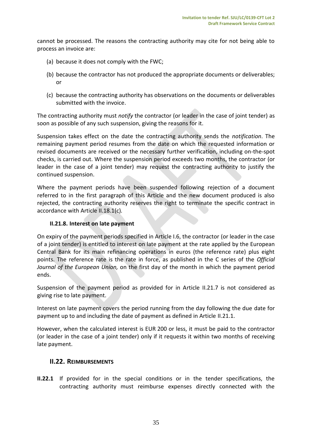cannot be processed. The reasons the contracting authority may cite for not being able to process an invoice are:

- (a) because it does not comply with the FWC;
- (b) because the contractor has not produced the appropriate documents or deliverables; or
- (c) because the contracting authority has observations on the documents or deliverables submitted with the invoice.

The contracting authority must *notify* the contractor (or leader in the case of joint tender) as soon as possible of any such suspension, giving the reasons for it.

Suspension takes effect on the date the contracting authority sends the *notification*. The remaining payment period resumes from the date on which the requested information or revised documents are received or the necessary further verification, including on-the-spot checks, is carried out. Where the suspension period exceeds two months, the contractor (or leader in the case of a joint tender) may request the contracting authority to justify the continued suspension.

Where the payment periods have been suspended following rejection of a document referred to in the first paragraph of this Article and the new document produced is also rejected, the contracting authority reserves the right to terminate the specific contract in accordance with Article II.18.1(c)*.*

# **II.21.8. Interest on late payment**

On expiry of the payment periods specified in Article I.6, the contractor (or leader in the case of a joint tender) is entitled to interest on late payment at the rate applied by the European Central Bank for its main refinancing operations in euros (the reference rate) plus eight points. The reference rate is the rate in force, as published in the C series of the *Official Journal of the European Union,* on the first day of the month in which the payment period ends.

Suspension of the payment period as provided for in Article II.21.7 is not considered as giving rise to late payment.

Interest on late payment covers the period running from the day following the due date for payment up to and including the date of payment as defined in Article II.21.1.

However, when the calculated interest is EUR 200 or less, it must be paid to the contractor (or leader in the case of a joint tender) only if it requests it within two months of receiving late payment.

# <span id="page-34-0"></span>**II.22. REIMBURSEMENTS**

**II.22.1** If provided for in the special conditions or in the tender specifications, the contracting authority must reimburse expenses directly connected with the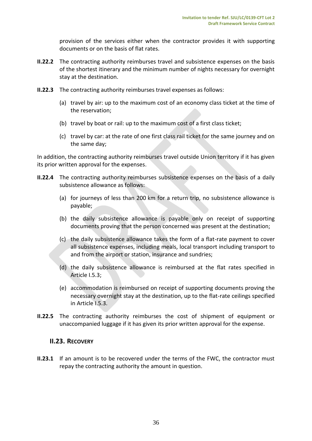provision of the services either when the contractor provides it with supporting documents or on the basis of flat rates.

- **II.22.2** The contracting authority reimburses travel and subsistence expenses on the basis of the shortest itinerary and the minimum number of nights necessary for overnight stay at the destination.
- **II.22.3** The contracting authority reimburses travel expenses as follows:
	- (a) travel by air: up to the maximum cost of an economy class ticket at the time of the reservation;
	- (b) travel by boat or rail: up to the maximum cost of a first class ticket;
	- (c) travel by car: at the rate of one first class rail ticket for the same journey and on the same day;

In addition, the contracting authority reimburses travel outside Union territory if it has given its prior written approval for the expenses.

- **II.22.4** The contracting authority reimburses subsistence expenses on the basis of a daily subsistence allowance as follows:
	- (a) for journeys of less than 200 km for a return trip, no subsistence allowance is payable;
	- (b) the daily subsistence allowance is payable only on receipt of supporting documents proving that the person concerned was present at the destination;
	- (c) the daily subsistence allowance takes the form of a flat-rate payment to cover all subsistence expenses, including meals, local transport including transport to and from the airport or station, insurance and sundries;
	- (d) the daily subsistence allowance is reimbursed at the flat rates specified in Article I.5.3;
	- (e) accommodation is reimbursed on receipt of supporting documents proving the necessary overnight stay at the destination, up to the flat-rate ceilings specified in Article I.5.3.
- **II.22.5** The contracting authority reimburses the cost of shipment of equipment or unaccompanied luggage if it has given its prior written approval for the expense.

# <span id="page-35-0"></span>**II.23. RECOVERY**

**II.23.1** If an amount is to be recovered under the terms of the FWC, the contractor must repay the contracting authority the amount in question.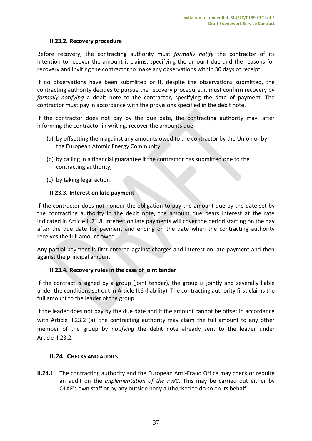# **II.23.2. Recovery procedure**

Before recovery, the contracting authority must *formally notify* the contractor of its intention to recover the amount it claims, specifying the amount due and the reasons for recovery and inviting the contractor to make any observations within 30 days of receipt.

If no observations have been submitted or if, despite the observations submitted, the contracting authority decides to pursue the recovery procedure, it must confirm recovery by *formally notifying* a debit note to the contractor, specifying the date of payment. The contractor must pay in accordance with the provisions specified in the debit note.

If the contractor does not pay by the due date, the contracting authority may, after informing the contractor in writing, recover the amounts due:

- (a) by offsetting them against any amounts owed to the contractor by the Union or by the European Atomic Energy Community;
- (b) by calling in a financial guarantee if the contractor has submitted one to the contracting authority;
- (c) by taking legal action.

#### **II.23.3. Interest on late payment**

If the contractor does not honour the obligation to pay the amount due by the date set by the contracting authority in the debit note, the amount due bears interest at the rate indicated in Article II.21.8. Interest on late payments will cover the period starting on the day after the due date for payment and ending on the date when the contracting authority receives the full amount owed.

Any partial payment is first entered against charges and interest on late payment and then against the principal amount.

# **II.23.4. Recovery rules in the case of joint tender**

If the contract is signed by a group (joint tender), the group is jointly and severally liable under the conditions set out in Article II.6 (liability). The contracting authority first claims the full amount to the leader of the group.

If the leader does not pay by the due date and if the amount cannot be offset in accordance with Article II.23.2 (a), the contracting authority may claim the full amount to any other member of the group by *notifying* the debit note already sent to the leader under Article II.23.2.

# <span id="page-36-0"></span>**II.24. CHECKS AND AUDITS**

**II.24.1** The contracting authority and the European Anti-Fraud Office may check or require an audit on the *implementation of the FWC*. This may be carried out either by OLAF's own staff or by any outside body authorised to do so on its behalf.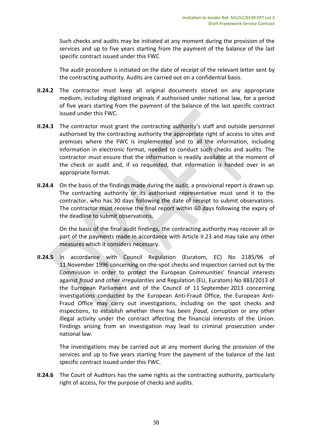Such checks and audits may be initiated at any moment during the provision of the services and up to five years starting from the payment of the balance of the last specific contract issued under this FWC

The audit procedure is initiated on the date of receipt of the relevant letter sent by the contracting authority. Audits are carried out on a confidential basis.

- **II.24.2** The contractor must keep all original documents stored on any appropriate medium, including digitised originals if authorised under national law, for a period of five years starting from the payment of the balance of the last specific contract issued under this FWC.
- **II.24.3** The contractor must grant the contracting authority's staff and outside personnel authorised by the contracting authority the appropriate right of access to sites and premises where the FWC is implemented and to all the information, including information in electronic format, needed to conduct such checks and audits. The contractor must ensure that the information is readily available at the moment of the check or audit and, if so requested, that information is handed over in an appropriate format.
- **II.24.4** On the basis of the findings made during the audit, a provisional report is drawn up. The contracting authority or its authorised representative must send it to the contractor, who has 30 days following the date of receipt to submit observations. The contractor must receive the final report within 60 days following the expiry of the deadline to submit observations.

On the basis of the final audit findings, the contracting authority may recover all or part of the payments made in accordance with Article II.23 and may take any other measures which it considers necessary.

**II.24.5** In accordance with Council Regulation (Euratom, EC) No 2185/96 of 11 November 1996 concerning on-the-spot checks and inspection carried out by the Commission in order to protect the European Communities' financial interests against *fraud* and other *irregularities* and Regulation (EU, Euratom) No 883/2013 of the European Parliament and of the Council of 11 September 2013 concerning investigations conducted by the European Anti-Fraud Office, the European Anti-Fraud Office may carry out investigations, including on the spot checks and inspections, to establish whether there has been *fraud*, corruption or any other illegal activity under the contract affecting the financial interests of the Union. Findings arising from an investigation may lead to criminal prosecution under national law.

The investigations may be carried out at any moment during the provision of the services and up to five years starting from the payment of the balance of the last specific contract issued under this FWC.

**II.24.6** The Court of Auditors has the same rights as the contracting authority, particularly right of access, for the purpose of checks and audits.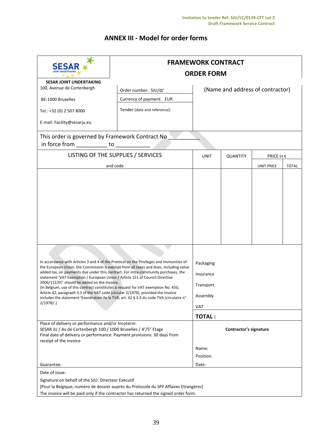# **ANNEX III - Model for order forms**

|                                                                                                                                                                                                                                                                                                                                                                                                                                                                                                                                                                                                                                                                                                          | <b>FRAMEWORK CONTRACT</b><br><b>ORDER FORM</b>                                                                                                                              |                                  |          |                   |              |  |  |  |  |
|----------------------------------------------------------------------------------------------------------------------------------------------------------------------------------------------------------------------------------------------------------------------------------------------------------------------------------------------------------------------------------------------------------------------------------------------------------------------------------------------------------------------------------------------------------------------------------------------------------------------------------------------------------------------------------------------------------|-----------------------------------------------------------------------------------------------------------------------------------------------------------------------------|----------------------------------|----------|-------------------|--------------|--|--|--|--|
| <b>SESAR JOINT UNDERTAKING</b><br>100, Avenue de Cortenbergh<br>BE-1000 Bruxelles<br>Tel.: +32 (0) 2 507 8000<br>E-mail: Facility@sesarju.eu                                                                                                                                                                                                                                                                                                                                                                                                                                                                                                                                                             | Order number: SJU/d/<br>Currency of payment: EUR<br>Tender (date and reference):                                                                                            | (Name and address of contractor) |          |                   |              |  |  |  |  |
| This order is governed by Framework Contract No<br>in force from to to the contract of the contract of the contract of the contract of the contract of the contract of the contract of the contract of the contract of the contract of the contract of the contract of the contra                                                                                                                                                                                                                                                                                                                                                                                                                        |                                                                                                                                                                             |                                  |          |                   |              |  |  |  |  |
|                                                                                                                                                                                                                                                                                                                                                                                                                                                                                                                                                                                                                                                                                                          | LISTING OF THE SUPPLIES / SERVICES                                                                                                                                          | UNIT                             | QUANTITY | PRICE in €        |              |  |  |  |  |
|                                                                                                                                                                                                                                                                                                                                                                                                                                                                                                                                                                                                                                                                                                          | and code                                                                                                                                                                    |                                  |          | <b>UNIT PRICE</b> | <b>TOTAL</b> |  |  |  |  |
| In accordance with Articles 3 and 4 of the Protocol on the Privileges and Immunities of<br>the European Union, the Commission is exempt from all taxes and dues, including value<br>added tax, on payments due under this contract. For intra-community purchases, the<br>statement 'VAT Exemption / European Union / Article 151 of Council Directive<br>2006/112/EC' should be added on the invoice.<br>[In Belgium, use of this contract constitutes a request for VAT exemption No. 450,<br>Article 42, paragraph 3.3 of the VAT code (circular 2/1978), provided the invoice<br>includes the statement:'Exonération de la TVA; art. 42 § 3.3 du code TVA (circulaire n°<br>$2/1978$ <sup>'</sup> .] |                                                                                                                                                                             |                                  |          |                   |              |  |  |  |  |
| Place of delivery or performance and/or Incoterm:<br>SESAR JU / Av de Cortenbergh 100 / 1000 Bruxelles / 4°/5° Etage<br>Final date of delivery or performance: Payment provisions: 30 days from<br>receipt of the invoice                                                                                                                                                                                                                                                                                                                                                                                                                                                                                |                                                                                                                                                                             | Contractor's signature           |          |                   |              |  |  |  |  |
|                                                                                                                                                                                                                                                                                                                                                                                                                                                                                                                                                                                                                                                                                                          |                                                                                                                                                                             | Name:                            |          |                   |              |  |  |  |  |
|                                                                                                                                                                                                                                                                                                                                                                                                                                                                                                                                                                                                                                                                                                          |                                                                                                                                                                             | Position:                        |          |                   |              |  |  |  |  |
| Guarantee:<br>Date of issue:                                                                                                                                                                                                                                                                                                                                                                                                                                                                                                                                                                                                                                                                             |                                                                                                                                                                             | Date:                            |          |                   |              |  |  |  |  |
| Signature on behalf of the SJU: Directeur Executif                                                                                                                                                                                                                                                                                                                                                                                                                                                                                                                                                                                                                                                       | [Pour la Belgique, numéro de dossier auprès du Protocole du SPF Affaires Etrangères]<br>The invoice will be paid only if the contractor has returned the signed order form. |                                  |          |                   |              |  |  |  |  |